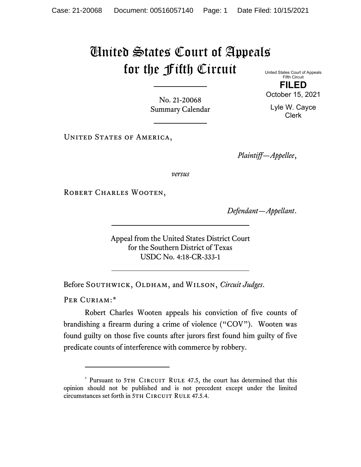## United States Court of Appeals for the Fifth Circuit

United States Court of Appeals Fifth Circuit **FILED** October 15, 2021

Lyle W. Cayce Clerk

No. 21-20068 Summary Calendar

UNITED STATES OF AMERICA,

*Plaintiff—Appellee*,

*versus*

ROBERT CHARLES WOOTEN,

*Defendant—Appellant*.

Appeal from the United States District Court for the Southern District of Texas USDC No. 4:18-CR-333-1

Before SOUTHWICK, OLDHAM, and WILSON, *Circuit Judges*.

PER CURIAM:[\\*](#page-0-0)

Robert Charles Wooten appeals his conviction of five counts of brandishing a firearm during a crime of violence ("COV"). Wooten was found guilty on those five counts after jurors first found him guilty of five predicate counts of interference with commerce by robbery.

<span id="page-0-0"></span><sup>\*</sup> Pursuant to 5TH CIRCUIT RULE 47.5, the court has determined that this opinion should not be published and is not precedent except under the limited circumstances set forth in 5TH CIRCUIT RULE 47.5.4.